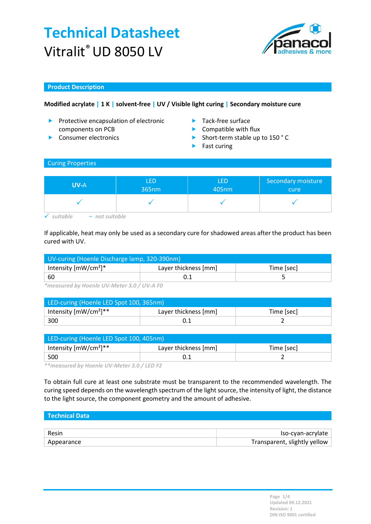

### Product Description

## Modified acrylate | 1 K | solvent-free | UV / Visible light curing | Secondary moisture cure

- Protective encapsulation of electronic components on PCB
- 
- **Tack-free surface**
- $\blacktriangleright$  Compatible with flux
- Consumer electronics **Short-term stable up to 150 °C** 
	- $\blacktriangleright$  Fast curing

### Curing Properties

| <b>UV-A</b> | LED   | <b>LED</b> | Secondary moisture |
|-------------|-------|------------|--------------------|
|             | 365nm | 405nm      | cure               |
|             |       |            |                    |

 $\checkmark$  suitable  $-$  not suitable

If applicable, heat may only be used as a secondary cure for shadowed areas after the product has been cured with UV.

| UV-curing (Hoenle Discharge lamp, 320-390nm) |                      |            |  |
|----------------------------------------------|----------------------|------------|--|
| Intensity $[mW/cm^2]^*$                      | Layer thickness [mm] | Time [sec] |  |
| ∣ 60                                         |                      |            |  |

\*measured by Hoenle UV-Meter 3.0 / UV-A F0

| LED-curing (Hoenle LED Spot 100, 365nm) |                      |            |  |
|-----------------------------------------|----------------------|------------|--|
| Intensity $[mW/cm^2]^{**}$              | Layer thickness [mm] | Time [sec] |  |
| 300                                     |                      |            |  |

| LED-curing (Hoenle LED Spot 100, 405nm) |                      |            |  |
|-----------------------------------------|----------------------|------------|--|
| Intensity $[mW/cm^2]^{**}$              | Layer thickness [mm] | Time [sec] |  |
| 500                                     |                      |            |  |

\*\*measured by Hoenle UV-Meter 3.0 / LED F2

To obtain full cure at least one substrate must be transparent to the recommended wavelength. The curing speed depends on the wavelength spectrum of the light source, the intensity of light, the distance to the light source, the component geometry and the amount of adhesive.

| Technical Data |                              |
|----------------|------------------------------|
|                |                              |
| Resin          | Iso-cyan-acrylate            |
| Appearance     | Transparent, slightly yellow |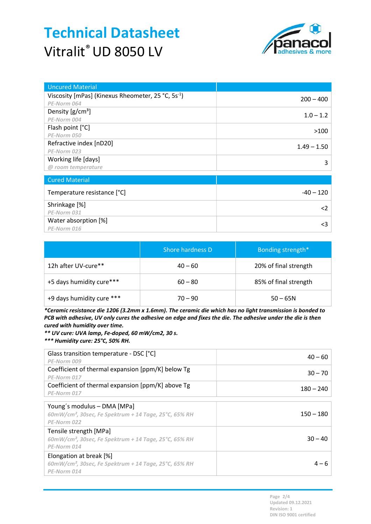

| <b>Uncured Material</b>                                        |               |
|----------------------------------------------------------------|---------------|
| Viscosity [mPas] (Kinexus Rheometer, 25 °C, 5s <sup>-1</sup> ) | $200 - 400$   |
| PE-Norm 064                                                    |               |
| Density $[g/cm^3]$                                             | $1.0 - 1.2$   |
| PE-Norm 004                                                    |               |
| Flash point [°C]                                               |               |
| PE-Norm 050                                                    | >100          |
| Refractive index [nD20]                                        | $1.49 - 1.50$ |
| PE-Norm 023                                                    |               |
| Working life [days]                                            | 3             |
| @ room temperature                                             |               |
|                                                                |               |
| <b>Cured Material</b>                                          |               |
| Temperature resistance [°C]                                    | $-40 - 120$   |
| Shrinkage [%]                                                  |               |
| PE-Norm 031                                                    | $\langle$ 2   |
| Water absorption [%]                                           |               |
| PE-Norm 016                                                    | <3            |

|                           | Shore hardness D | Bonding strength*     |  |
|---------------------------|------------------|-----------------------|--|
| 12h after UV-cure**       | $40 - 60$        | 20% of final strength |  |
| +5 days humidity cure***  | $60 - 80$        | 85% of final strength |  |
| +9 days humidity cure *** | $70 - 90$        | $50 - 65N$            |  |

\*Ceramic resistance die 1206 (3.2mm x 1.6mm). The ceramic die which has no light transmission is bonded to PCB with adhesive, UV only cures the adhesive on edge and fixes the die. The adhesive under the die is then cured with humidity over time.

\*\* UV cure: UVA lamp, Fe-doped, 60 mW/cm2, 30 s.

\*\*\* Humidity cure: 25°C, 50% RH.

| Glass transition temperature - DSC [°C]<br>PE-Norm 009                                                          | $40 - 60$   |
|-----------------------------------------------------------------------------------------------------------------|-------------|
| Coefficient of thermal expansion [ppm/K] below Tg<br>PE-Norm 017                                                | $30 - 70$   |
| Coefficient of thermal expansion [ppm/K] above Tg<br>PE-Norm 017                                                | $180 - 240$ |
| Young's modulus – DMA [MPa]<br>60mW/cm <sup>2</sup> , 30sec, Fe Spektrum + 14 Tage, 25°C, 65% RH<br>PE-Norm 022 | $150 - 180$ |
| Tensile strength [MPa]<br>$60$ mW/cm <sup>2</sup> , 30sec, Fe Spektrum + 14 Tage, 25°C, 65% RH<br>PE-Norm 014   | $30 - 40$   |
| Elongation at break [%]<br>$60$ mW/cm <sup>2</sup> , 30sec, Fe Spektrum + 14 Tage, 25°C, 65% RH<br>PE-Norm 014  | $4-6$       |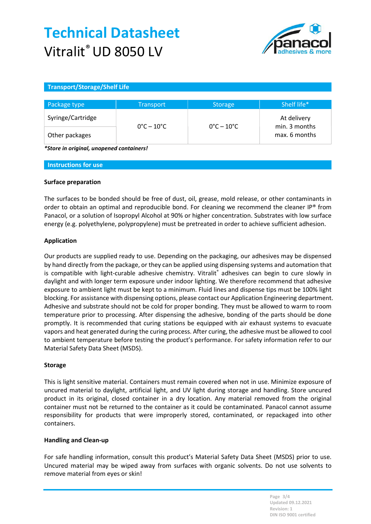

### Transport/Storage/Shelf Life

| Package type      | <b>Transport</b>                | <b>Storage</b>                  | Shelf life*                    |
|-------------------|---------------------------------|---------------------------------|--------------------------------|
| Syringe/Cartridge |                                 |                                 | At delivery                    |
| Other packages    | $0^{\circ}$ C – 10 $^{\circ}$ C | $0^{\circ}$ C – 10 $^{\circ}$ C | min. 3 months<br>max. 6 months |

\*Store in original, unopened containers!

#### Instructions for use

#### Surface preparation

The surfaces to be bonded should be free of dust, oil, grease, mold release, or other contaminants in order to obtain an optimal and reproducible bond. For cleaning we recommend the cleaner IP® from Panacol, or a solution of Isopropyl Alcohol at 90% or higher concentration. Substrates with low surface energy (e.g. polyethylene, polypropylene) must be pretreated in order to achieve sufficient adhesion.

#### Application

Our products are supplied ready to use. Depending on the packaging, our adhesives may be dispensed by hand directly from the package, or they can be applied using dispensing systems and automation that is compatible with light-curable adhesive chemistry. Vitralit® adhesives can begin to cure slowly in daylight and with longer term exposure under indoor lighting. We therefore recommend that adhesive exposure to ambient light must be kept to a minimum. Fluid lines and dispense tips must be 100% light blocking. For assistance with dispensing options, please contact our Application Engineering department. Adhesive and substrate should not be cold for proper bonding. They must be allowed to warm to room temperature prior to processing. After dispensing the adhesive, bonding of the parts should be done promptly. It is recommended that curing stations be equipped with air exhaust systems to evacuate vapors and heat generated during the curing process. After curing, the adhesive must be allowed to cool to ambient temperature before testing the product's performance. For safety information refer to our Material Safety Data Sheet (MSDS).

#### Storage

This is light sensitive material. Containers must remain covered when not in use. Minimize exposure of uncured material to daylight, artificial light, and UV light during storage and handling. Store uncured product in its original, closed container in a dry location. Any material removed from the original container must not be returned to the container as it could be contaminated. Panacol cannot assume responsibility for products that were improperly stored, contaminated, or repackaged into other containers.

#### Handling and Clean-up

For safe handling information, consult this product's Material Safety Data Sheet (MSDS) prior to use. Uncured material may be wiped away from surfaces with organic solvents. Do not use solvents to remove material from eyes or skin!